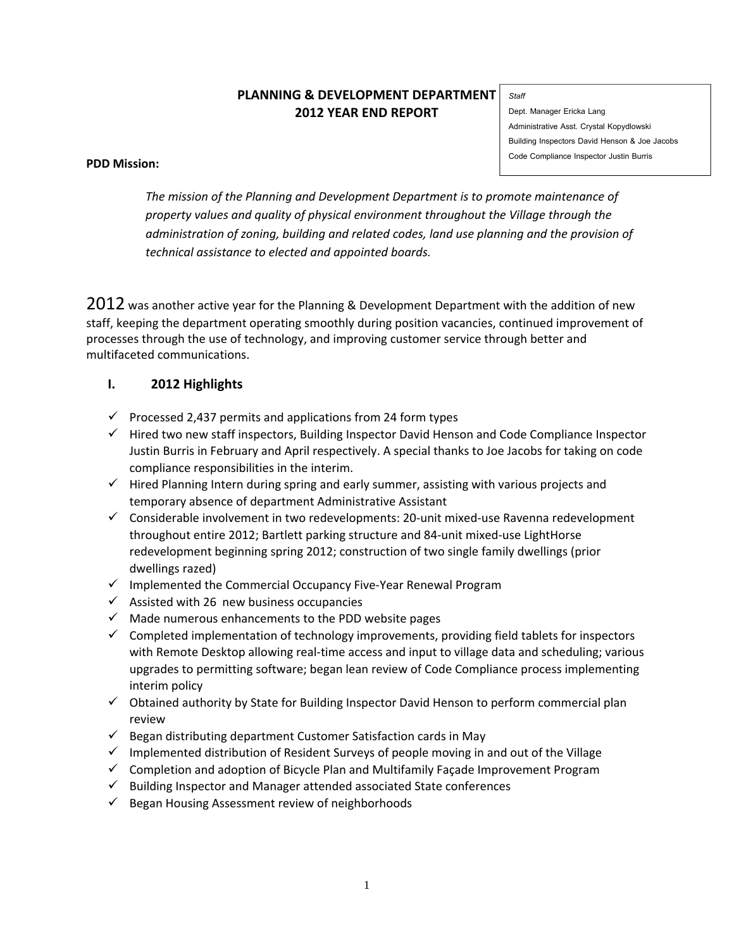# **PLANNING & DEVELOPMENT DEPARTMENT 2012 YEAR END REPORT**

#### *Staff*

Dept. Manager Ericka Lang Administrative Asst. Crystal Kopydlowski Building Inspectors David Henson & Joe Jacobs Code Compliance Inspector Justin Burris

### **PDD Mission:**

*The mission of the Planning and Development Department is to promote maintenance of property values and quality of physical environment throughout the Village through the administration of zoning, building and related codes, land use planning and the provision of technical assistance to elected and appointed boards.*

2012 was another active year for the Planning & Development Department with the addition of new staff, keeping the department operating smoothly during position vacancies, continued improvement of processes through the use of technology, and improving customer service through better and multifaceted communications.

# **I. 2012 Highlights**

- $\checkmark$  Processed 2,437 permits and applications from 24 form types
- $\checkmark$  Hired two new staff inspectors, Building Inspector David Henson and Code Compliance Inspector Justin Burris in February and April respectively. A special thanks to Joe Jacobs for taking on code compliance responsibilities in the interim.
- $\checkmark$  Hired Planning Intern during spring and early summer, assisting with various projects and temporary absence of department Administrative Assistant
- $\checkmark$  Considerable involvement in two redevelopments: 20-unit mixed-use Ravenna redevelopment throughout entire 2012; Bartlett parking structure and 84‐unit mixed‐use LightHorse redevelopment beginning spring 2012; construction of two single family dwellings (prior dwellings razed)
- Implemented the Commercial Occupancy Five‐Year Renewal Program
- $\checkmark$  Assisted with 26 new business occupancies
- $\checkmark$  Made numerous enhancements to the PDD website pages
- $\checkmark$  Completed implementation of technology improvements, providing field tablets for inspectors with Remote Desktop allowing real-time access and input to village data and scheduling; various upgrades to permitting software; began lean review of Code Compliance process implementing interim policy
- $\checkmark$  Obtained authority by State for Building Inspector David Henson to perform commercial plan review
- $\checkmark$  Began distributing department Customer Satisfaction cards in May
- $\checkmark$  Implemented distribution of Resident Surveys of people moving in and out of the Village
- $\checkmark$  Completion and adoption of Bicycle Plan and Multifamily Façade Improvement Program
- $\checkmark$  Building Inspector and Manager attended associated State conferences
- $\checkmark$  Began Housing Assessment review of neighborhoods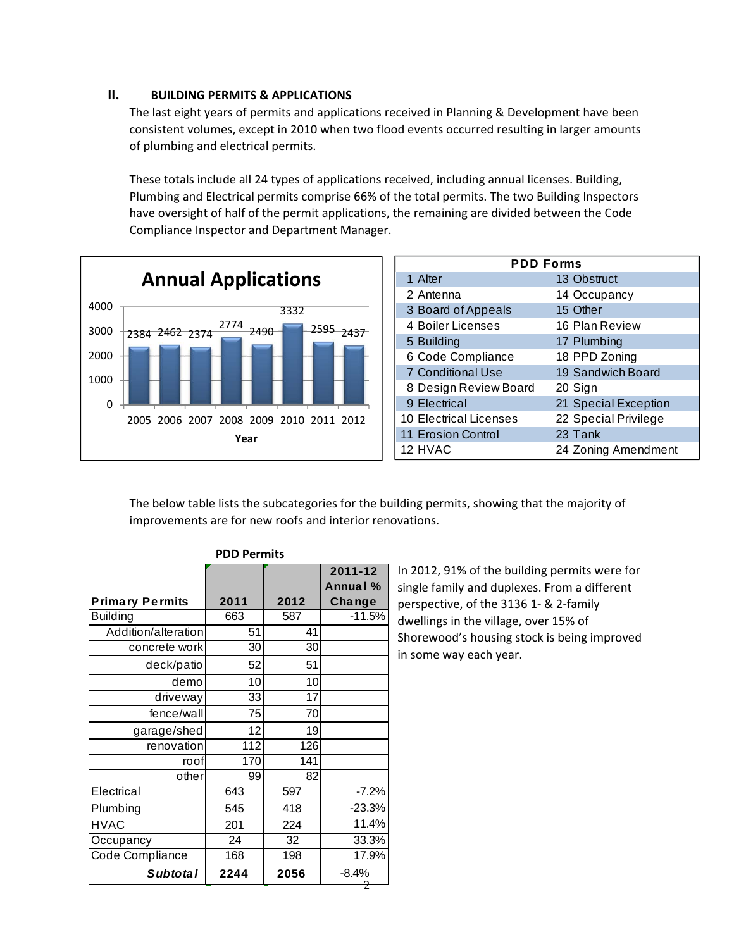## **II. BUILDING PERMITS & APPLICATIONS**

The last eight years of permits and applications received in Planning & Development have been consistent volumes, except in 2010 when two flood events occurred resulting in larger amounts of plumbing and electrical permits.

These totals include all 24 types of applications received, including annual licenses. Building, Plumbing and Electrical permits comprise 66% of the total permits. The two Building Inspectors have oversight of half of the permit applications, the remaining are divided between the Code Compliance Inspector and Department Manager.



| <b>PDD Forms</b>              |                      |  |  |  |  |  |  |
|-------------------------------|----------------------|--|--|--|--|--|--|
| 1 Alter                       | 13 Obstruct          |  |  |  |  |  |  |
| 2 Antenna                     | 14 Occupancy         |  |  |  |  |  |  |
| 3 Board of Appeals            | 15 Other             |  |  |  |  |  |  |
| 4 Boiler Licenses             | 16 Plan Review       |  |  |  |  |  |  |
| 5 Building                    | 17 Plumbing          |  |  |  |  |  |  |
| 6 Code Compliance             | 18 PPD Zoning        |  |  |  |  |  |  |
| <b>7 Conditional Use</b>      | 19 Sandwich Board    |  |  |  |  |  |  |
| 8 Design Review Board         | 20 Sign              |  |  |  |  |  |  |
| 9 Electrical                  | 21 Special Exception |  |  |  |  |  |  |
| <b>10 Electrical Licenses</b> | 22 Special Privilege |  |  |  |  |  |  |
| 11 Erosion Control            | 23 Tank              |  |  |  |  |  |  |
| 12 HVAC                       | 24 Zoning Amendment  |  |  |  |  |  |  |

The below table lists the subcategories for the building permits, showing that the majority of improvements are for new roofs and interior renovations.

| PDD Permits            |      |      |          |  |  |  |
|------------------------|------|------|----------|--|--|--|
|                        |      |      | 2011-12  |  |  |  |
|                        |      |      | Annual % |  |  |  |
| <b>Primary Permits</b> | 2011 | 2012 | Change   |  |  |  |
| <b>Building</b>        | 663  | 587  | $-11.5%$ |  |  |  |
| Addition/alteration    | 51   | 41   |          |  |  |  |
| concrete work          | 30   | 30   |          |  |  |  |
| deck/patio             | 52   | 51   |          |  |  |  |
| demo                   | 10   | 10   |          |  |  |  |
| driveway               | 33   | 17   |          |  |  |  |
| fence/wall             | 75   | 70   |          |  |  |  |
| garage/shed            | 12   | 19   |          |  |  |  |
| renovation             | 112  | 126  |          |  |  |  |
| roof                   | 170  | 141  |          |  |  |  |
| other                  | 99   | 82   |          |  |  |  |
| Electrical             | 643  | 597  | $-7.2%$  |  |  |  |
| Plumbing               | 545  | 418  | $-23.3%$ |  |  |  |
| <b>HVAC</b>            | 201  | 224  | 11.4%    |  |  |  |
| Occupancy              | 24   | 32   | 33.3%    |  |  |  |
| Code Compliance        | 168  | 198  | 17.9%    |  |  |  |
| <b>Subtotal</b>        | 2244 | 2056 | $-8.4%$  |  |  |  |

### **PDD Permits**

In 2012, 91% of the building permits were for single family and duplexes. From a different perspective, of the 3136 1‐ & 2‐family dwellings in the village, over 15% of Shorewood's housing stock is being improved in some way each year.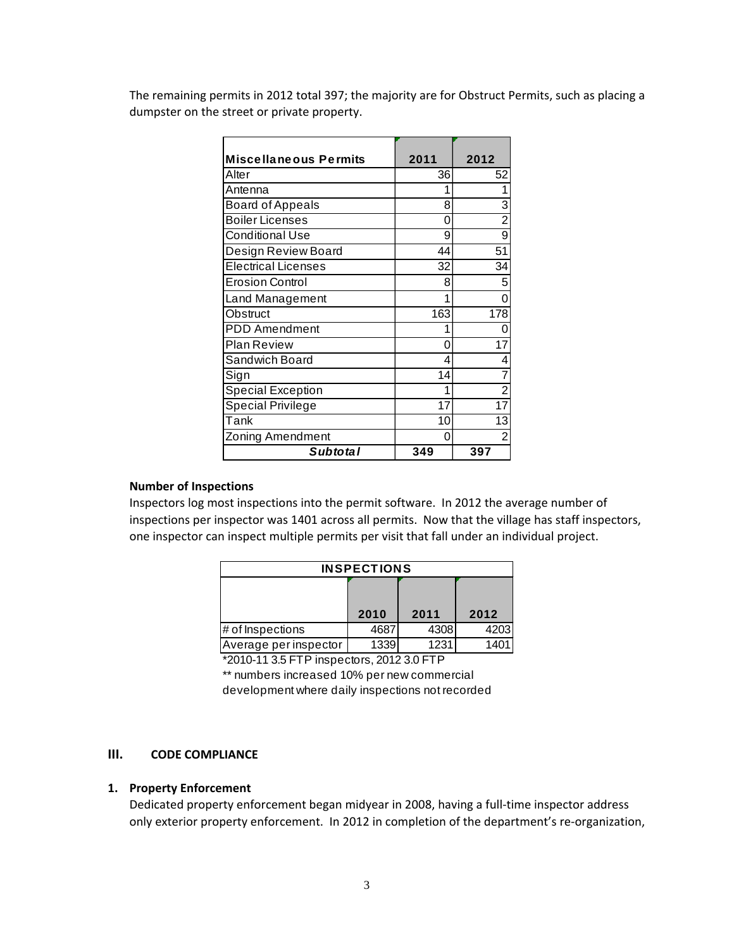The remaining permits in 2012 total 397; the majority are for Obstruct Permits, such as placing a dumpster on the street or private property.

| <b>Miscellaneous Permits</b> | 2011 | 2012           |
|------------------------------|------|----------------|
| Alter                        | 36   | 52             |
| Antenna                      | 1    | 1              |
| <b>Board of Appeals</b>      | 8    | 3              |
| <b>Boiler Licenses</b>       | 0    | $\overline{2}$ |
| <b>Conditional Use</b>       | 9    | 9              |
| Design Review Board          | 44   | 51             |
| <b>Electrical Licenses</b>   | 32   | 34             |
| <b>Erosion Control</b>       | 8    | 5              |
| Land Management              | 1    | 0              |
| Obstruct                     | 163  | 178            |
| <b>PDD</b> Amendment         | 1    | 0              |
| Plan Review                  | 0    | 17             |
| Sandwich Board               | 4    | 4              |
| Sign                         | 14   |                |
| <b>Special Exception</b>     | 1    | $\overline{2}$ |
| <b>Special Privilege</b>     | 17   | 17             |
| Tank                         | 10   | 13             |
| Zoning Amendment             | 0    | 2              |
| <b>Subtotal</b>              | 349  | 397            |

### **Number of Inspections**

Inspectors log most inspections into the permit software. In 2012 the average number of inspections per inspector was 1401 across all permits. Now that the village has staff inspectors, one inspector can inspect multiple permits per visit that fall under an individual project.

| <b>INSPECTIONS</b>    |      |      |      |  |  |  |
|-----------------------|------|------|------|--|--|--|
|                       |      |      |      |  |  |  |
|                       | 2010 | 2011 | 2012 |  |  |  |
| $#$ of Inspections    | 468  | 4308 | 4203 |  |  |  |
| Average per inspector | 1339 | 1231 | 1401 |  |  |  |

\*2010-11 3.5 FTP inspectors, 2012 3.0 FTP \*\* numbers increased 10% per new commercial development where daily inspections not recorded

# **III. CODE COMPLIANCE**

#### **1. Property Enforcement**

Dedicated property enforcement began midyear in 2008, having a full-time inspector address only exterior property enforcement. In 2012 in completion of the department's re‐organization,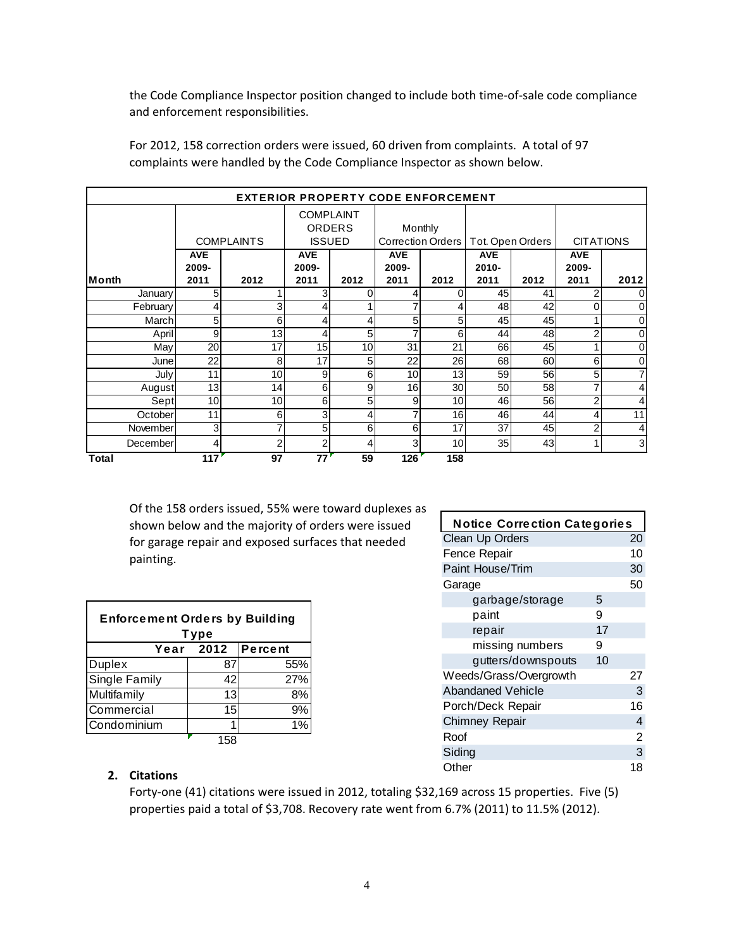the Code Compliance Inspector position changed to include both time‐of‐sale code compliance and enforcement responsibilities.

|          | <b>EXTERIOR PROPERTY CODE ENFORCEMENT</b> |                   |                     |                                                    |                     |                              |                     |                  |                     |                  |
|----------|-------------------------------------------|-------------------|---------------------|----------------------------------------------------|---------------------|------------------------------|---------------------|------------------|---------------------|------------------|
|          |                                           | <b>COMPLAINTS</b> |                     | <b>COMPLAINT</b><br><b>ORDERS</b><br><b>ISSUED</b> |                     | Monthly<br>Correction Orders |                     | Tot. Open Orders |                     | <b>CITATIONS</b> |
|          | <b>AVE</b><br>2009-                       |                   | <b>AVE</b><br>2009- |                                                    | <b>AVE</b><br>2009- |                              | <b>AVE</b><br>2010- |                  | <b>AVE</b><br>2009- |                  |
| lMonth   | 2011                                      | 2012              | 2011                | 2012                                               | 2011                | 2012                         | 2011                | 2012             | 2011                | 2012             |
| January  | 5                                         |                   |                     | 0                                                  | 4                   | ი                            | 45                  | 41               |                     | 0                |
| February |                                           |                   |                     |                                                    |                     | 4                            | 48                  | 42               |                     | 0                |
| March    | 5                                         | 6                 |                     | 4                                                  | 5                   | 5                            | 45                  | 45               |                     | 0                |
| April    | 9                                         | 13                |                     | 5                                                  |                     | 6                            | 44                  | 48               | 2                   | $\mathbf 0$      |
| May      | 20                                        | 17                | 15                  | 10                                                 | 31                  | 21                           | 66                  | 45               |                     | $\mathbf 0$      |
| Junel    | 22                                        | 8                 | 17                  | 5                                                  | 22                  | 26                           | 68                  | 60               | 6                   | $\mathbf 0$      |
| July     | 11                                        | 10 <sup>1</sup>   | 9                   | 6                                                  | 10                  | 13                           | 59                  | 56               | 5                   | 7                |
| August   | 13                                        | 14                | 6                   | 9                                                  | 16                  | 30 <sub>l</sub>              | 50                  | 58               |                     | 4                |
| Sept     | 10                                        | 10 <sup>1</sup>   | $6 \mid$            | 5                                                  | 9                   | 10 <sup>1</sup>              | 46                  | 56               | 2                   | 4                |
| October  | 11                                        | $6 \mid$          | 3                   | 4                                                  |                     | 16                           | 46                  | 44               | 4                   | 11               |
| November | 3                                         |                   | 5                   | 6                                                  | 6                   | 17                           | 37                  | 45               | 2                   | 4                |
| December | 4                                         | 2                 | 2                   | 4                                                  | 3                   | 10 <sup>1</sup>              | 35                  | 43               |                     | 3                |
| Total    | 117                                       | 97                | 77                  | 59                                                 | 126                 | 158                          |                     |                  |                     |                  |

For 2012, 158 correction orders were issued, 60 driven from complaints. A total of 97 complaints were handled by the Code Compliance Inspector as shown below.

Of the 158 orders issued, 55% were toward duplexes as shown below and the majority of orders were issued for garage repair and exposed surfaces that needed painting.

| <b>Enforcement Orders by Building</b><br>Type |     |     |  |  |  |  |  |  |  |
|-----------------------------------------------|-----|-----|--|--|--|--|--|--|--|
| Year 2012 Percent                             |     |     |  |  |  |  |  |  |  |
| <b>Duplex</b>                                 | 87  | 55% |  |  |  |  |  |  |  |
| Single Family                                 | 42  | 27% |  |  |  |  |  |  |  |
| Multifamily                                   | 13  | 8%  |  |  |  |  |  |  |  |
| Commercial                                    | 15  | 9%  |  |  |  |  |  |  |  |
| Condominium                                   |     |     |  |  |  |  |  |  |  |
|                                               | 158 |     |  |  |  |  |  |  |  |

| <b>Notice Correction Categories</b> |    |                |
|-------------------------------------|----|----------------|
| <b>Clean Up Orders</b>              |    | 20             |
| Fence Repair                        |    | 10             |
| Paint House/Trim                    |    | 30             |
| Garage                              |    | 50             |
| garbage/storage                     | 5  |                |
| paint                               | 9  |                |
| repair                              | 17 |                |
| missing numbers                     | 9  |                |
| gutters/downspouts                  | 10 |                |
| Weeds/Grass/Overgrowth              |    | 27             |
| <b>Abandaned Vehicle</b>            |    | 3              |
| Porch/Deck Repair                   |    | 16             |
| Chimney Repair                      |    | 4              |
| Roof                                |    | $\overline{2}$ |
| Siding                              |    | 3              |
| Other                               |    | 18             |
|                                     |    |                |

# **2. Citations**

Forty-one (41) citations were issued in 2012, totaling \$32,169 across 15 properties. Five (5) properties paid a total of \$3,708. Recovery rate went from 6.7% (2011) to 11.5% (2012).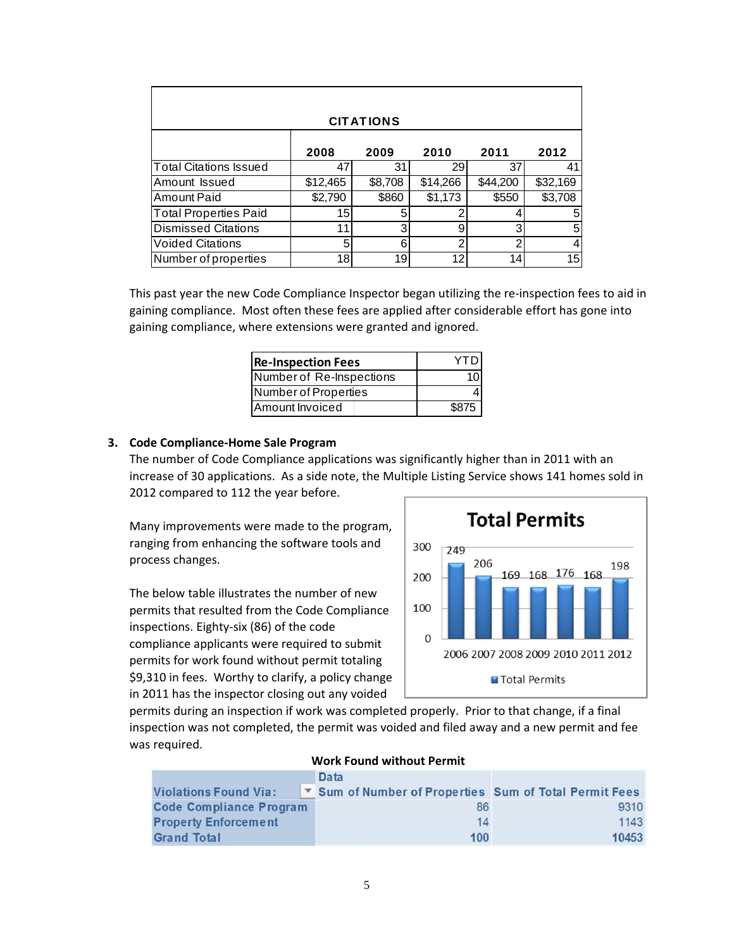| <b>CITATIONS</b>              |          |         |          |          |          |  |  |  |
|-------------------------------|----------|---------|----------|----------|----------|--|--|--|
|                               | 2008     | 2009    | 2010     | 2011     | 2012     |  |  |  |
| <b>Total Citations Issued</b> | 47       | 31      | 29       | 37       | 41       |  |  |  |
| Amount Issued                 | \$12,465 | \$8,708 | \$14,266 | \$44,200 | \$32,169 |  |  |  |
| Amount Paid                   | \$2,790  | \$860   | \$1,173  | \$550    | \$3,708  |  |  |  |
| <b>Total Properties Paid</b>  | 15       | 5       |          |          | 5        |  |  |  |
| <b>Dismissed Citations</b>    | 11       | 3       | 9        | 3        | 5        |  |  |  |
| <b>Voided Citations</b>       | 5        | 6       | ◠        | າ        |          |  |  |  |
| Number of properties          | 18       | 19      | 12       | 14       | 15       |  |  |  |

This past year the new Code Compliance Inspector began utilizing the re-inspection fees to aid in gaining compliance. Most often these fees are applied after considerable effort has gone into gaining compliance, where extensions were granted and ignored.

| <b>Re-Inspection Fees</b> | YTD   |
|---------------------------|-------|
| Number of Re-Inspections  |       |
| Number of Properties      |       |
| Amount Invoiced           | \$875 |

### **3. Code Compliance‐Home Sale Program**

The number of Code Compliance applications was significantly higher than in 2011 with an increase of 30 applications. As a side note, the Multiple Listing Service shows 141 homes sold in 2012 compared to 112 the year before.

Many improvements were made to the program, ranging from enhancing the software tools and process changes.

The below table illustrates the number of new permits that resulted from the Code Compliance inspections. Eighty‐six (86) of the code compliance applicants were required to submit permits for work found without permit totaling \$9,310 in fees. Worthy to clarify, a policy change in 2011 has the inspector closing out any voided



permits during an inspection if work was completed properly. Prior to that change, if a final inspection was not completed, the permit was voided and filed away and a new permit and fee was required.

| WORK FOUND WILNOUL PENNIL      |  |                                                      |       |  |  |  |  |
|--------------------------------|--|------------------------------------------------------|-------|--|--|--|--|
|                                |  | Data                                                 |       |  |  |  |  |
| <b>Violations Found Via:</b>   |  | Sum of Number of Properties Sum of Total Permit Fees |       |  |  |  |  |
| <b>Code Compliance Program</b> |  | 86                                                   | 9310  |  |  |  |  |
| <b>Property Enforcement</b>    |  | 14                                                   | 1143  |  |  |  |  |
| <b>Grand Total</b>             |  | 100                                                  | 10453 |  |  |  |  |

### **Work Found without Permit**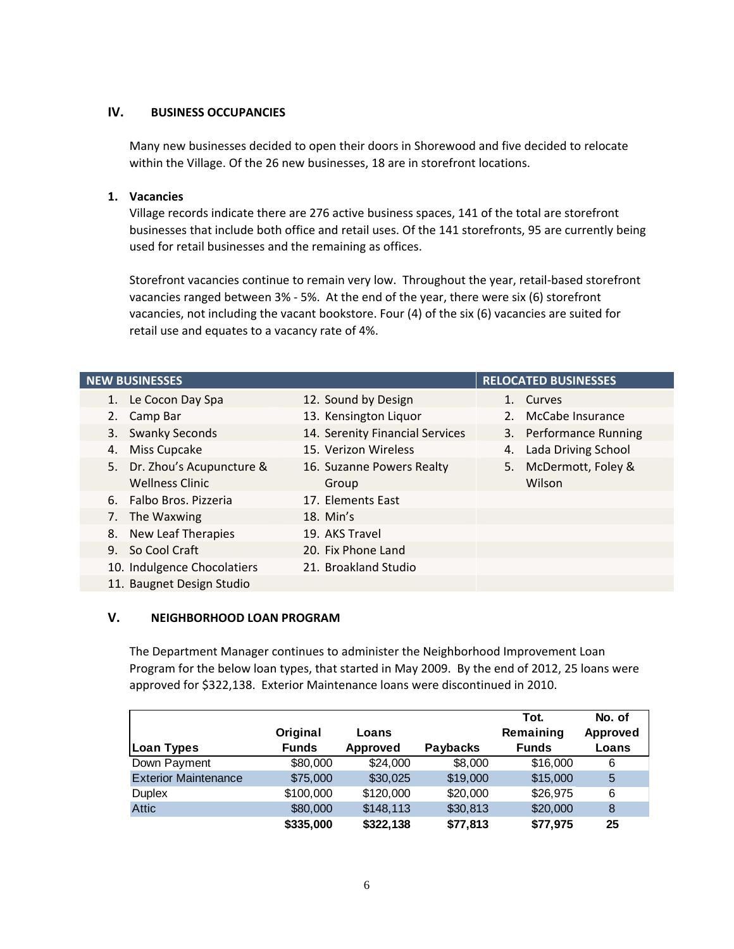# **IV. BUSINESS OCCUPANCIES**

Many new businesses decided to open their doors in Shorewood and five decided to relocate within the Village. Of the 26 new businesses, 18 are in storefront locations.

### **1. Vacancies**

Village records indicate there are 276 active business spaces, 141 of the total are storefront businesses that include both office and retail uses. Of the 141 storefronts, 95 are currently being used for retail businesses and the remaining as offices.

Storefront vacancies continue to remain very low. Throughout the year, retail-based storefront vacancies ranged between 3% ‐ 5%. At the end of the year, there were six (6) storefront vacancies, not including the vacant bookstore. Four (4) of the six (6) vacancies are suited for retail use and equates to a vacancy rate of 4%.

| <b>NEW BUSINESSES</b> |                             |                                 |    | <b>RELOCATED BUSINESSES</b> |
|-----------------------|-----------------------------|---------------------------------|----|-----------------------------|
|                       | 1. Le Cocon Day Spa         | 12. Sound by Design             |    | 1. Curves                   |
|                       | 2. Camp Bar                 | 13. Kensington Liquor           |    | 2. McCabe Insurance         |
| 3.                    | <b>Swanky Seconds</b>       | 14. Serenity Financial Services |    | 3. Performance Running      |
| 4.                    | Miss Cupcake                | 15. Verizon Wireless            | 4. | Lada Driving School         |
|                       | 5. Dr. Zhou's Acupuncture & | 16. Suzanne Powers Realty       |    | 5. McDermott, Foley &       |
|                       | <b>Wellness Clinic</b>      | Group                           |    | Wilson                      |
|                       | 6. Falbo Bros. Pizzeria     | 17. Elements East               |    |                             |
|                       | 7. The Waxwing              | $18.$ Min's                     |    |                             |
| 8.                    | New Leaf Therapies          | 19. AKS Travel                  |    |                             |
|                       | 9. So Cool Craft            | 20. Fix Phone Land              |    |                             |
|                       | 10. Indulgence Chocolatiers | 21. Broakland Studio            |    |                             |
|                       | 11. Baugnet Design Studio   |                                 |    |                             |

#### **V. NEIGHBORHOOD LOAN PROGRAM**

The Department Manager continues to administer the Neighborhood Improvement Loan Program for the below loan types, that started in May 2009. By the end of 2012, 25 loans were approved for \$322,138. Exterior Maintenance loans were discontinued in 2010.

|                             |              |           |                 | Tot.         | No. of   |
|-----------------------------|--------------|-----------|-----------------|--------------|----------|
|                             | Original     | Loans     |                 | Remaining    | Approved |
| Loan Types                  | <b>Funds</b> | Approved  | <b>Paybacks</b> | <b>Funds</b> | Loans    |
| Down Payment                | \$80,000     | \$24,000  | \$8,000         | \$16,000     | 6        |
| <b>Exterior Maintenance</b> | \$75,000     | \$30,025  | \$19,000        | \$15,000     | 5        |
| <b>Duplex</b>               | \$100,000    | \$120,000 | \$20,000        | \$26,975     | 6        |
| <b>Attic</b>                | \$80,000     | \$148,113 | \$30,813        | \$20,000     | 8        |
|                             | \$335,000    | \$322,138 | \$77,813        | \$77,975     | 25       |